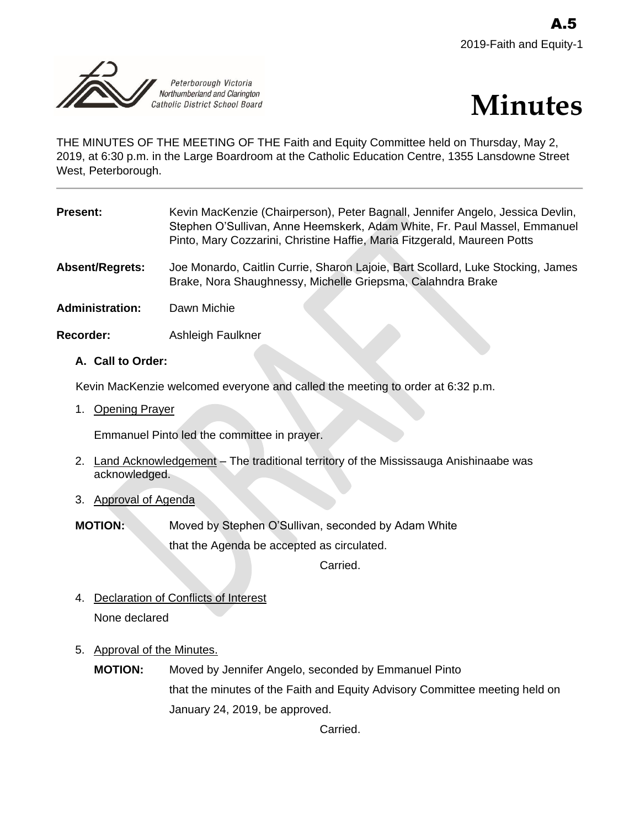



THE MINUTES OF THE MEETING OF THE Faith and Equity Committee held on Thursday, May 2, 2019, at 6:30 p.m. in the Large Boardroom at the Catholic Education Centre, 1355 Lansdowne Street West, Peterborough.

| Present:               | Kevin MacKenzie (Chairperson), Peter Bagnall, Jennifer Angelo, Jessica Devlin,<br>Stephen O'Sullivan, Anne Heemskerk, Adam White, Fr. Paul Massel, Emmanuel<br>Pinto, Mary Cozzarini, Christine Haffie, Maria Fitzgerald, Maureen Potts |
|------------------------|-----------------------------------------------------------------------------------------------------------------------------------------------------------------------------------------------------------------------------------------|
| <b>Absent/Regrets:</b> | Joe Monardo, Caitlin Currie, Sharon Lajoie, Bart Scollard, Luke Stocking, James<br>Brake, Nora Shaughnessy, Michelle Griepsma, Calahndra Brake                                                                                          |
| <b>Administration:</b> | Dawn Michie                                                                                                                                                                                                                             |
| Recorder:              | Ashleigh Faulkner                                                                                                                                                                                                                       |

# **A. Call to Order:**

Kevin MacKenzie welcomed everyone and called the meeting to order at 6:32 p.m.

1. Opening Prayer

Emmanuel Pinto led the committee in prayer.

- 2. Land Acknowledgement The traditional territory of the Mississauga Anishinaabe was acknowledged.
- 3. Approval of Agenda
- **MOTION:** Moved by Stephen O'Sullivan, seconded by Adam White that the Agenda be accepted as circulated.

Carried.

- 4. Declaration of Conflicts of Interest None declared
- 5. Approval of the Minutes.
	- **MOTION:** Moved by Jennifer Angelo, seconded by Emmanuel Pinto that the minutes of the Faith and Equity Advisory Committee meeting held on January 24, 2019, be approved.

Carried.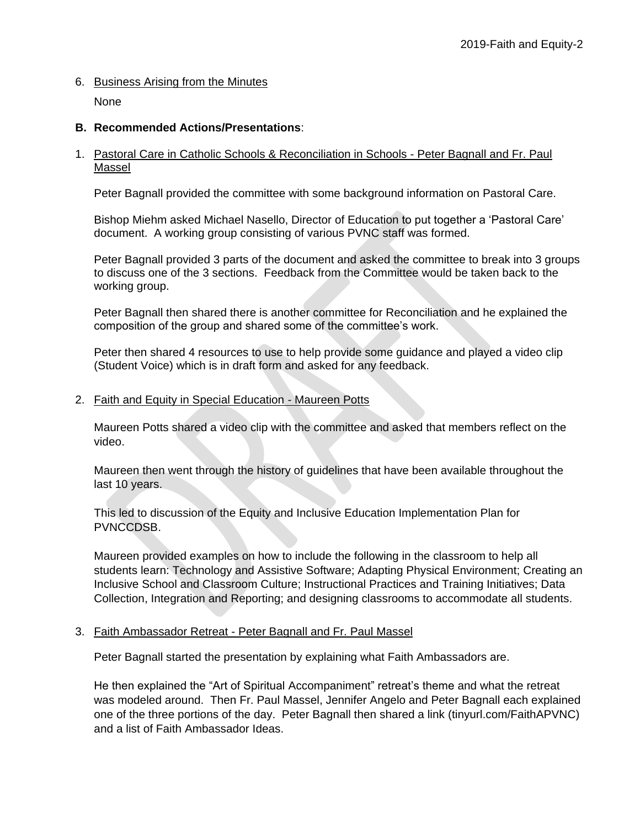# 6. Business Arising from the Minutes

None

### **B. Recommended Actions/Presentations**:

#### 1. Pastoral Care in Catholic Schools & Reconciliation in Schools - Peter Bagnall and Fr. Paul Massel

Peter Bagnall provided the committee with some background information on Pastoral Care.

Bishop Miehm asked Michael Nasello, Director of Education to put together a 'Pastoral Care' document. A working group consisting of various PVNC staff was formed.

Peter Bagnall provided 3 parts of the document and asked the committee to break into 3 groups to discuss one of the 3 sections. Feedback from the Committee would be taken back to the working group.

Peter Bagnall then shared there is another committee for Reconciliation and he explained the composition of the group and shared some of the committee's work.

Peter then shared 4 resources to use to help provide some guidance and played a video clip (Student Voice) which is in draft form and asked for any feedback.

### 2. Faith and Equity in Special Education *-* Maureen Potts

Maureen Potts shared a video clip with the committee and asked that members reflect on the video.

Maureen then went through the history of guidelines that have been available throughout the last 10 years.

This led to discussion of the Equity and Inclusive Education Implementation Plan for PVNCCDSB.

Maureen provided examples on how to include the following in the classroom to help all students learn: Technology and Assistive Software; Adapting Physical Environment; Creating an Inclusive School and Classroom Culture; Instructional Practices and Training Initiatives; Data Collection, Integration and Reporting; and designing classrooms to accommodate all students.

#### 3. Faith Ambassador Retreat - Peter Bagnall and Fr. Paul Massel

Peter Bagnall started the presentation by explaining what Faith Ambassadors are.

He then explained the "Art of Spiritual Accompaniment" retreat's theme and what the retreat was modeled around. Then Fr. Paul Massel, Jennifer Angelo and Peter Bagnall each explained one of the three portions of the day. Peter Bagnall then shared a link (tinyurl.com/FaithAPVNC) and a list of Faith Ambassador Ideas.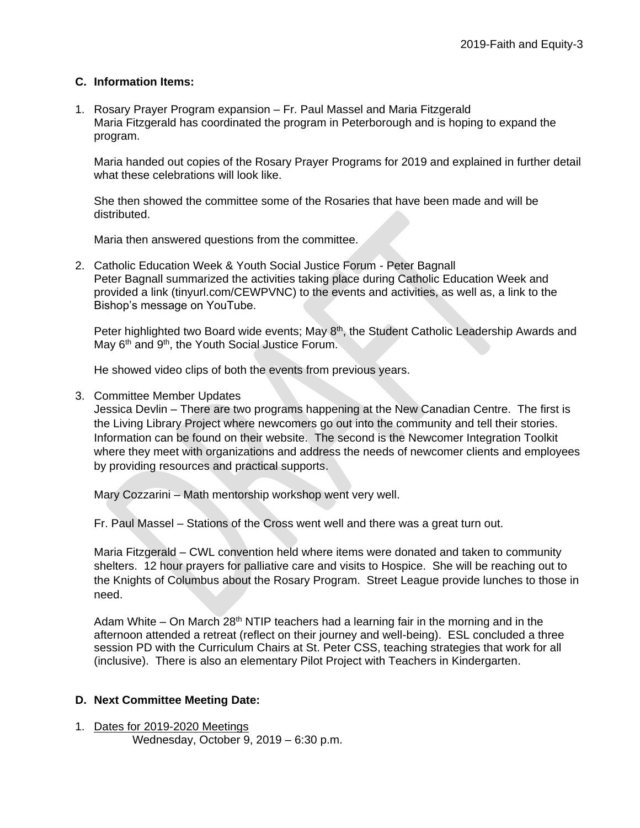# **C. Information Items:**

1. Rosary Prayer Program expansion – Fr. Paul Massel and Maria Fitzgerald Maria Fitzgerald has coordinated the program in Peterborough and is hoping to expand the program.

Maria handed out copies of the Rosary Prayer Programs for 2019 and explained in further detail what these celebrations will look like.

She then showed the committee some of the Rosaries that have been made and will be distributed.

Maria then answered questions from the committee.

2. Catholic Education Week & Youth Social Justice Forum - Peter Bagnall Peter Bagnall summarized the activities taking place during Catholic Education Week and provided a link (tinyurl.com/CEWPVNC) to the events and activities, as well as, a link to the Bishop's message on YouTube.

Peter highlighted two Board wide events; May  $8<sup>th</sup>$ , the Student Catholic Leadership Awards and May 6<sup>th</sup> and 9<sup>th</sup>, the Youth Social Justice Forum.

He showed video clips of both the events from previous years.

3. Committee Member Updates

Jessica Devlin – There are two programs happening at the New Canadian Centre. The first is the Living Library Project where newcomers go out into the community and tell their stories. Information can be found on their website. The second is the Newcomer Integration Toolkit where they meet with organizations and address the needs of newcomer clients and employees by providing resources and practical supports.

Mary Cozzarini – Math mentorship workshop went very well.

Fr. Paul Massel – Stations of the Cross went well and there was a great turn out.

Maria Fitzgerald – CWL convention held where items were donated and taken to community shelters. 12 hour prayers for palliative care and visits to Hospice. She will be reaching out to the Knights of Columbus about the Rosary Program. Street League provide lunches to those in need.

Adam White – On March 28<sup>th</sup> NTIP teachers had a learning fair in the morning and in the afternoon attended a retreat (reflect on their journey and well-being). ESL concluded a three session PD with the Curriculum Chairs at St. Peter CSS, teaching strategies that work for all (inclusive). There is also an elementary Pilot Project with Teachers in Kindergarten.

# **D. Next Committee Meeting Date:**

1. Dates for 2019-2020 Meetings Wednesday, October 9, 2019 – 6:30 p.m.